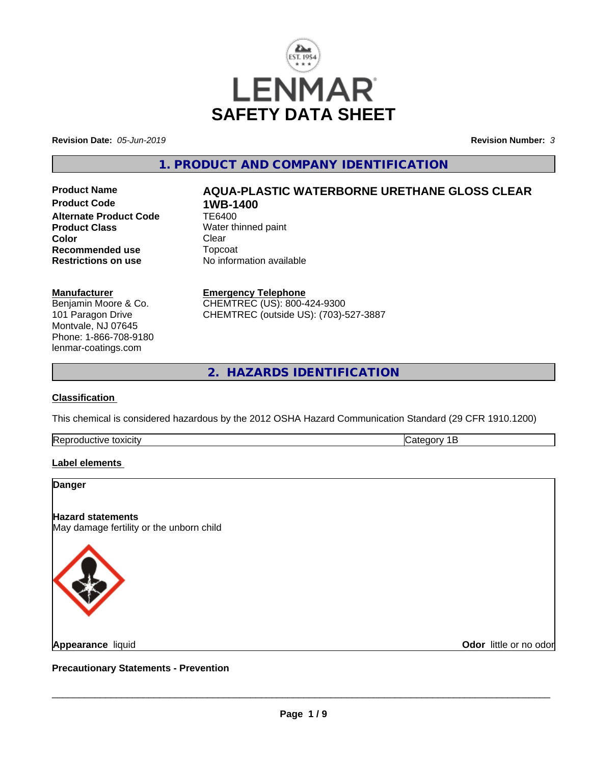

**Revision Date:** *05-Jun-2019* **Revision Number:** *3*

## **1. PRODUCT AND COMPANY IDENTIFICATION**

**Product Code 1WB-1400<br>Alternate Product Code 1E6400 Alternate Product Code Product Class** Water thinned paint<br> **Color** Clear **Color** Clear Clear **Recommended use** Topcoat<br> **Restrictions on use** No inform

# **Product Name AQUA-PLASTIC WATERBORNE URETHANE GLOSS CLEAR**

**Restrictions on use** No information available

#### **Manufacturer**

Benjamin Moore & Co. 101 Paragon Drive Montvale, NJ 07645 Phone: 1-866-708-9180 lenmar-coatings.com

#### **Emergency Telephone** CHEMTREC (US): 800-424-9300

CHEMTREC (outside US): (703)-527-3887

**2. HAZARDS IDENTIFICATION**

## **Classification**

This chemical is considered hazardous by the 2012 OSHA Hazard Communication Standard (29 CFR 1910.1200)

| -lR |  |
|-----|--|
|     |  |

#### **Label elements**

#### **Danger**

**Hazard statements**

May damage fertility or the unborn child



**Appearance** liquid

**Odor** little or no odor

**Precautionary Statements - Prevention**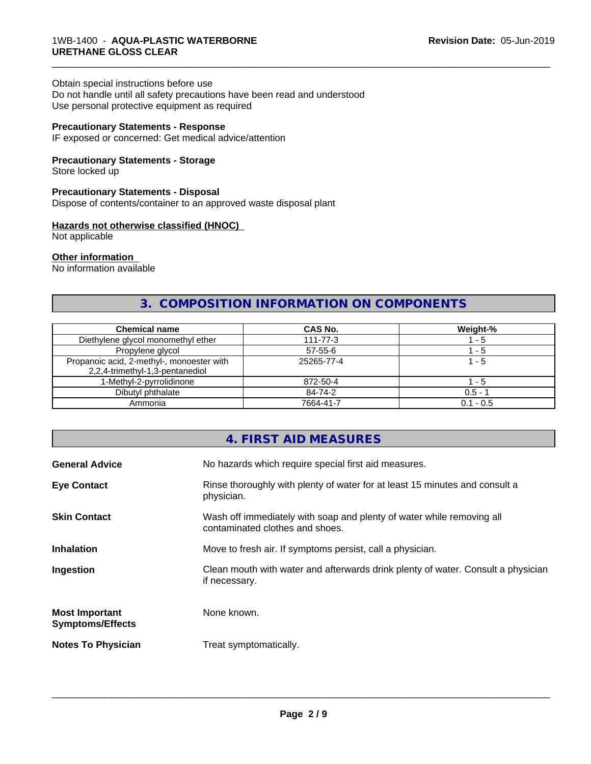#### Obtain special instructions before use

Do not handle until all safety precautions have been read and understood Use personal protective equipment as required

#### **Precautionary Statements - Response**

IF exposed or concerned: Get medical advice/attention

#### **Precautionary Statements - Storage**

Store locked up

#### **Precautionary Statements - Disposal**

Dispose of contents/container to an approved waste disposal plant

#### **Hazards not otherwise classified (HNOC)**

Not applicable

#### **Other information**

No information available

## **3. COMPOSITION INFORMATION ON COMPONENTS**

\_\_\_\_\_\_\_\_\_\_\_\_\_\_\_\_\_\_\_\_\_\_\_\_\_\_\_\_\_\_\_\_\_\_\_\_\_\_\_\_\_\_\_\_\_\_\_\_\_\_\_\_\_\_\_\_\_\_\_\_\_\_\_\_\_\_\_\_\_\_\_\_\_\_\_\_\_\_\_\_\_\_\_\_\_\_\_\_\_\_\_\_\_

| <b>Chemical name</b>                                                         | CAS No.        | Weight-%    |
|------------------------------------------------------------------------------|----------------|-------------|
| Diethylene glycol monomethyl ether                                           | $111 - 77 - 3$ | - 5         |
| Propylene glycol                                                             | $57 - 55 - 6$  | - 5         |
| Propanoic acid, 2-methyl-, monoester with<br>2,2,4-trimethyl-1,3-pentanediol | 25265-77-4     | l - 5       |
| 1-Methyl-2-pyrrolidinone                                                     | 872-50-4       | - 5         |
| Dibutyl phthalate                                                            | 84-74-2        | $0.5 - 1$   |
| Ammonia                                                                      | 7664-41-7      | $0.1 - 0.5$ |

## **4. FIRST AID MEASURES**

| <b>General Advice</b>                            | No hazards which require special first aid measures.                                                     |
|--------------------------------------------------|----------------------------------------------------------------------------------------------------------|
| <b>Eye Contact</b>                               | Rinse thoroughly with plenty of water for at least 15 minutes and consult a<br>physician.                |
| <b>Skin Contact</b>                              | Wash off immediately with soap and plenty of water while removing all<br>contaminated clothes and shoes. |
| <b>Inhalation</b>                                | Move to fresh air. If symptoms persist, call a physician.                                                |
| Ingestion                                        | Clean mouth with water and afterwards drink plenty of water. Consult a physician<br>if necessary.        |
| <b>Most Important</b><br><b>Symptoms/Effects</b> | None known.                                                                                              |
| <b>Notes To Physician</b>                        | Treat symptomatically.                                                                                   |
|                                                  |                                                                                                          |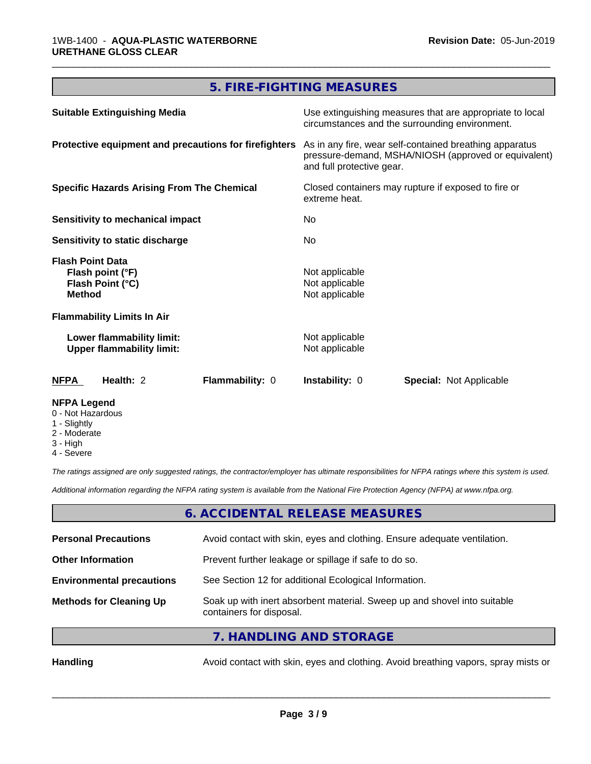# **5. FIRE-FIGHTING MEASURES**

\_\_\_\_\_\_\_\_\_\_\_\_\_\_\_\_\_\_\_\_\_\_\_\_\_\_\_\_\_\_\_\_\_\_\_\_\_\_\_\_\_\_\_\_\_\_\_\_\_\_\_\_\_\_\_\_\_\_\_\_\_\_\_\_\_\_\_\_\_\_\_\_\_\_\_\_\_\_\_\_\_\_\_\_\_\_\_\_\_\_\_\_\_

| <b>Suitable Extinguishing Media</b>                                              | Use extinguishing measures that are appropriate to local<br>circumstances and the surrounding environment.                                   |  |
|----------------------------------------------------------------------------------|----------------------------------------------------------------------------------------------------------------------------------------------|--|
| Protective equipment and precautions for firefighters                            | As in any fire, wear self-contained breathing apparatus<br>pressure-demand, MSHA/NIOSH (approved or equivalent)<br>and full protective gear. |  |
| <b>Specific Hazards Arising From The Chemical</b>                                | Closed containers may rupture if exposed to fire or<br>extreme heat.                                                                         |  |
| Sensitivity to mechanical impact                                                 | No.                                                                                                                                          |  |
| <b>Sensitivity to static discharge</b>                                           | No.                                                                                                                                          |  |
| <b>Flash Point Data</b><br>Flash point (°F)<br>Flash Point (°C)<br><b>Method</b> | Not applicable<br>Not applicable<br>Not applicable                                                                                           |  |
| <b>Flammability Limits In Air</b>                                                |                                                                                                                                              |  |
| Lower flammability limit:<br><b>Upper flammability limit:</b>                    | Not applicable<br>Not applicable                                                                                                             |  |
| <b>NFPA</b><br>Health: 2<br>Flammability: 0                                      | <b>Instability: 0</b><br><b>Special: Not Applicable</b>                                                                                      |  |
| <b>NFPA Legend</b>                                                               |                                                                                                                                              |  |

- 0 Not Hazardous
- 1 Slightly
- 2 Moderate
- 3 High
- 4 Severe

*The ratings assigned are only suggested ratings, the contractor/employer has ultimate responsibilities for NFPA ratings where this system is used.*

*Additional information regarding the NFPA rating system is available from the National Fire Protection Agency (NFPA) at www.nfpa.org.*

## **6. ACCIDENTAL RELEASE MEASURES**

| <b>Personal Precautions</b>      | Avoid contact with skin, eyes and clothing. Ensure adequate ventilation.                             |
|----------------------------------|------------------------------------------------------------------------------------------------------|
| <b>Other Information</b>         | Prevent further leakage or spillage if safe to do so.                                                |
| <b>Environmental precautions</b> | See Section 12 for additional Ecological Information.                                                |
| <b>Methods for Cleaning Up</b>   | Soak up with inert absorbent material. Sweep up and shovel into suitable<br>containers for disposal. |
|                                  |                                                                                                      |

**7. HANDLING AND STORAGE**

Handling **Handling** Avoid contact with skin, eyes and clothing. Avoid breathing vapors, spray mists or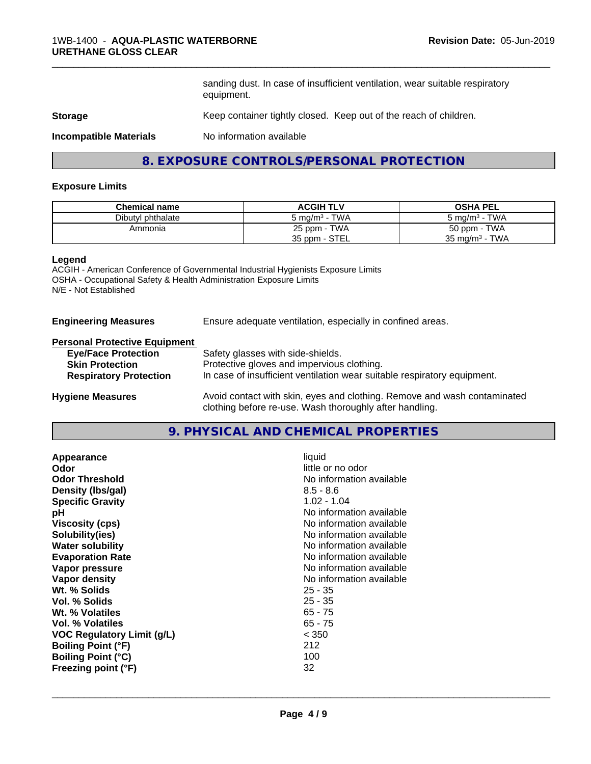sanding dust. In case of insufficient ventilation, wear suitable respiratory equipment.

\_\_\_\_\_\_\_\_\_\_\_\_\_\_\_\_\_\_\_\_\_\_\_\_\_\_\_\_\_\_\_\_\_\_\_\_\_\_\_\_\_\_\_\_\_\_\_\_\_\_\_\_\_\_\_\_\_\_\_\_\_\_\_\_\_\_\_\_\_\_\_\_\_\_\_\_\_\_\_\_\_\_\_\_\_\_\_\_\_\_\_\_\_

#### **Storage** Keep container tightly closed. Keep out of the reach of children.

**Incompatible Materials** No information available

## **8. EXPOSURE CONTROLS/PERSONAL PROTECTION**

#### **Exposure Limits**

| <b>Chemical name</b> | <b>ACGIH TLV</b>                      | <b>OSHA PEL</b>                   |
|----------------------|---------------------------------------|-----------------------------------|
| Dibutyl phthalate    | <b>TWA</b><br>5 mg/m <sup>3</sup> - 1 | TWA<br>5 mg/m <sup>3</sup> -      |
| Ammonia              | 25 ppm - TWA                          | 50 ppm - TWA                      |
|                      | 35 ppm - STEL                         | TWA<br>35 mg/m <sup>3</sup> - $1$ |

#### **Legend**

ACGIH - American Conference of Governmental Industrial Hygienists Exposure Limits OSHA - Occupational Safety & Health Administration Exposure Limits N/E - Not Established

#### **Engineering Measures** Ensure adequate ventilation, especially in confined areas.

#### **Personal Protective Equipment**

| <b>Eye/Face Protection</b>    | Safety glasses with side-shields.                                        |
|-------------------------------|--------------------------------------------------------------------------|
| <b>Skin Protection</b>        | Protective gloves and impervious clothing.                               |
| <b>Respiratory Protection</b> | In case of insufficient ventilation wear suitable respiratory equipment. |
| <b>Hygiene Measures</b>       | Avoid contact with skin, eyes and clothing. Remove and wash contaminated |

clothing before re-use. Wash thoroughly after handling.

**9. PHYSICAL AND CHEMICAL PROPERTIES**

| Appearance                 | liquid                   |
|----------------------------|--------------------------|
| Odor                       | little or no odor        |
| <b>Odor Threshold</b>      | No information available |
| Density (Ibs/gal)          | $8.5 - 8.6$              |
| <b>Specific Gravity</b>    | $1.02 - 1.04$            |
| рH                         | No information available |
| <b>Viscosity (cps)</b>     | No information available |
| Solubility(ies)            | No information available |
| <b>Water solubility</b>    | No information available |
| <b>Evaporation Rate</b>    | No information available |
| Vapor pressure             | No information available |
| Vapor density              | No information available |
| Wt. % Solids               | $25 - 35$                |
| Vol. % Solids              | $25 - 35$                |
| Wt. % Volatiles            | $65 - 75$                |
| Vol. % Volatiles           | $65 - 75$                |
| VOC Regulatory Limit (q/L) | < 350                    |
| <b>Boiling Point (°F)</b>  | 212                      |
| <b>Boiling Point (°C)</b>  | 100                      |
| Freezing point (°F)        | 32                       |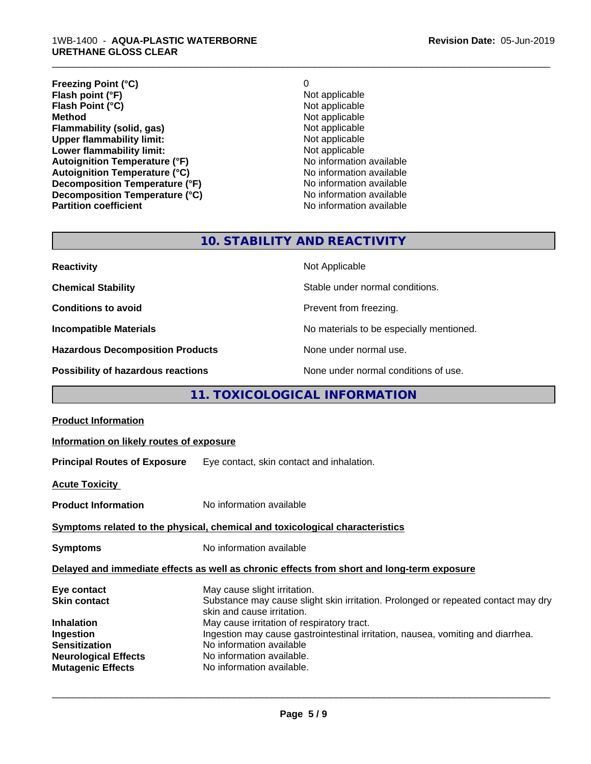#### 1WB-1400 - **AQUA-PLASTIC WATERBORNE URETHANE GLOSS CLEAR**

**Freezing Point (°C)**<br> **Flash point (°F)**<br> **Flash point (°F)**<br> **Point (°F)**<br> **Point (°F)**<br> **Point (°F)**<br> **Point (°F) Flash point (°F)**<br> **Flash Point (°C)**<br> **Flash Point (°C)**<br> **C Flash Point (°C) Method** Not applicable<br> **Flammability (solid, gas)** Not applicable Not applicable **Flammability (solid, gas)**<br> **Upper flammability limit:**<br>
Upper flammability limit:<br>
Not applicable **Upper flammability limit:**<br> **Lower flammability limit:**<br>
Not applicable<br>
Not applicable **Lower flammability limit:**<br> **Autoignition Temperature (°F)** Not applicable available and the Mustafable and Mustafable and Mustafable and Mu **Autoignition Temperature (°F)**<br> **Autoignition Temperature (°C)** No information available **Autoignition Temperature (°C) Decomposition Temperature (°F)** No information available

**Decomposition Temperature (°C)**<br> **Partition coefficient Partition coefficient 1 Partition available No information available No information available** 

\_\_\_\_\_\_\_\_\_\_\_\_\_\_\_\_\_\_\_\_\_\_\_\_\_\_\_\_\_\_\_\_\_\_\_\_\_\_\_\_\_\_\_\_\_\_\_\_\_\_\_\_\_\_\_\_\_\_\_\_\_\_\_\_\_\_\_\_\_\_\_\_\_\_\_\_\_\_\_\_\_\_\_\_\_\_\_\_\_\_\_\_\_

## **10. STABILITY AND REACTIVITY**

| <b>Reactivity</b>                         | Not Applicable                           |
|-------------------------------------------|------------------------------------------|
| <b>Chemical Stability</b>                 | Stable under normal conditions.          |
| <b>Conditions to avoid</b>                | Prevent from freezing.                   |
| <b>Incompatible Materials</b>             | No materials to be especially mentioned. |
| <b>Hazardous Decomposition Products</b>   | None under normal use.                   |
| <b>Possibility of hazardous reactions</b> | None under normal conditions of use.     |

## **11. TOXICOLOGICAL INFORMATION**

| Information on likely routes of exposure                                                                                                                                                                                                                                                                                                                               |  |  |
|------------------------------------------------------------------------------------------------------------------------------------------------------------------------------------------------------------------------------------------------------------------------------------------------------------------------------------------------------------------------|--|--|
| <b>Principal Routes of Exposure</b> Eye contact, skin contact and inhalation.                                                                                                                                                                                                                                                                                          |  |  |
|                                                                                                                                                                                                                                                                                                                                                                        |  |  |
| No information available                                                                                                                                                                                                                                                                                                                                               |  |  |
| Symptoms related to the physical, chemical and toxicological characteristics                                                                                                                                                                                                                                                                                           |  |  |
| No information available                                                                                                                                                                                                                                                                                                                                               |  |  |
| Delayed and immediate effects as well as chronic effects from short and long-term exposure                                                                                                                                                                                                                                                                             |  |  |
| May cause slight irritation.<br>Substance may cause slight skin irritation. Prolonged or repeated contact may dry<br>skin and cause irritation.<br>May cause irritation of respiratory tract.<br>Ingestion may cause gastrointestinal irritation, nausea, vomiting and diarrhea.<br>No information available<br>No information available.<br>No information available. |  |  |
|                                                                                                                                                                                                                                                                                                                                                                        |  |  |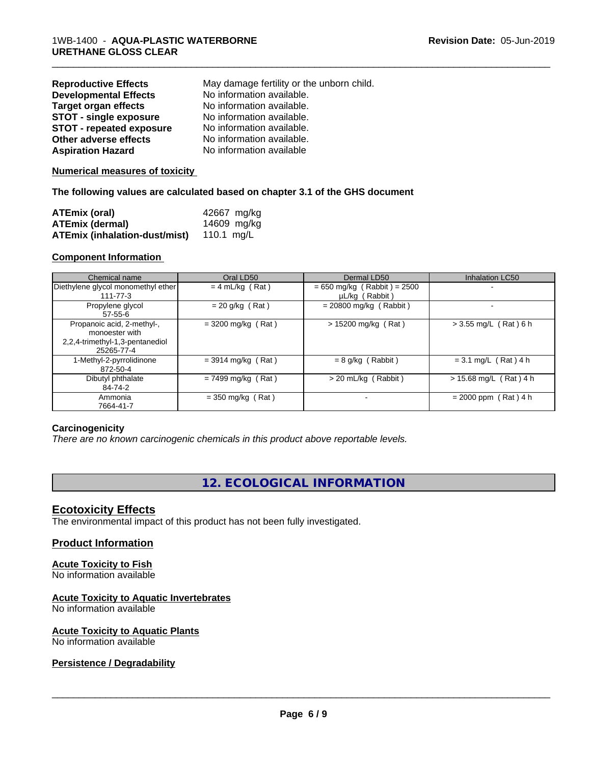| <b>Reproductive Effects</b>     | May damage fertility or the unborn child. |
|---------------------------------|-------------------------------------------|
| <b>Developmental Effects</b>    | No information available.                 |
| <b>Target organ effects</b>     | No information available.                 |
| <b>STOT - single exposure</b>   | No information available.                 |
| <b>STOT - repeated exposure</b> | No information available.                 |
| Other adverse effects           | No information available.                 |
| <b>Aspiration Hazard</b>        | No information available                  |

#### **Numerical measures of toxicity**

#### **The following values are calculated based on chapter 3.1 of the GHS document**

| ATEmix (oral)                                   | 42667 mg/kg |
|-------------------------------------------------|-------------|
| ATEmix (dermal)                                 | 14609 mg/kg |
| <b>ATEmix (inhalation-dust/mist)</b> 110.1 mg/L |             |

#### **Component Information**

| Chemical name                                                                                 | Oral LD50            | Dermal LD50                                     | Inhalation LC50          |
|-----------------------------------------------------------------------------------------------|----------------------|-------------------------------------------------|--------------------------|
| Diethylene glycol monomethyl ether<br>$111 - 77 - 3$                                          | $= 4$ mL/kg (Rat)    | $= 650$ mg/kg (Rabbit) = 2500<br>µL/kg (Rabbit) | $\,$                     |
| Propylene glycol<br>$57-55-6$                                                                 | $= 20$ g/kg (Rat)    | $= 20800$ mg/kg (Rabbit)                        |                          |
| Propanoic acid, 2-methyl-,<br>monoester with<br>2,2,4-trimethyl-1,3-pentanediol<br>25265-77-4 | $= 3200$ mg/kg (Rat) | $> 15200$ mg/kg (Rat)                           | $> 3.55$ mg/L (Rat) 6 h  |
| 1-Methyl-2-pyrrolidinone<br>872-50-4                                                          | $=$ 3914 mg/kg (Rat) | $= 8$ g/kg (Rabbit)                             | $= 3.1$ mg/L (Rat) 4 h   |
| Dibutyl phthalate<br>84-74-2                                                                  | $= 7499$ mg/kg (Rat) | $>$ 20 mL/kg (Rabbit)                           | $> 15.68$ mg/L (Rat) 4 h |
| Ammonia<br>7664-41-7                                                                          | $=$ 350 mg/kg (Rat)  |                                                 | $= 2000$ ppm (Rat) 4 h   |

\_\_\_\_\_\_\_\_\_\_\_\_\_\_\_\_\_\_\_\_\_\_\_\_\_\_\_\_\_\_\_\_\_\_\_\_\_\_\_\_\_\_\_\_\_\_\_\_\_\_\_\_\_\_\_\_\_\_\_\_\_\_\_\_\_\_\_\_\_\_\_\_\_\_\_\_\_\_\_\_\_\_\_\_\_\_\_\_\_\_\_\_\_

#### **Carcinogenicity**

*There are no known carcinogenic chemicals in this product above reportable levels.*

## **12. ECOLOGICAL INFORMATION**

#### **Ecotoxicity Effects**

The environmental impact of this product has not been fully investigated.

## **Product Information**

# **Acute Toxicity to Fish**

No information available

## **Acute Toxicity to Aquatic Invertebrates**

No information available

#### **Acute Toxicity to Aquatic Plants** No information available

## **Persistence / Degradability**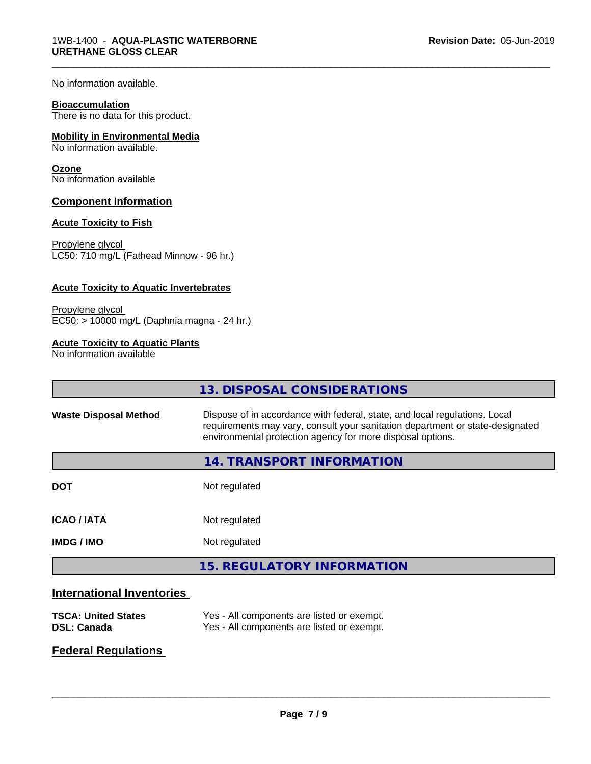No information available.

#### **Bioaccumulation**

There is no data for this product.

#### **Mobility in Environmental Media**

No information available.

#### **Ozone**

No information available

#### **Component Information**

#### **Acute Toxicity to Fish**

Propylene glycol LC50: 710 mg/L (Fathead Minnow - 96 hr.)

#### **Acute Toxicity to Aquatic Invertebrates**

Propylene glycol EC50: > 10000 mg/L (Daphnia magna - 24 hr.)

#### **Acute Toxicity to Aquatic Plants**

No information available

|                              | 13. DISPOSAL CONSIDERATIONS                                                                                                                                                                                               |
|------------------------------|---------------------------------------------------------------------------------------------------------------------------------------------------------------------------------------------------------------------------|
| <b>Waste Disposal Method</b> | Dispose of in accordance with federal, state, and local regulations. Local<br>requirements may vary, consult your sanitation department or state-designated<br>environmental protection agency for more disposal options. |
|                              | <b>14. TRANSPORT INFORMATION</b>                                                                                                                                                                                          |
| <b>DOT</b>                   | Not regulated                                                                                                                                                                                                             |
| <b>ICAO/IATA</b>             | Not regulated                                                                                                                                                                                                             |
| <b>IMDG/IMO</b>              | Not regulated                                                                                                                                                                                                             |
|                              | <b>15. REGULATORY INFORMATION</b>                                                                                                                                                                                         |
|                              |                                                                                                                                                                                                                           |

\_\_\_\_\_\_\_\_\_\_\_\_\_\_\_\_\_\_\_\_\_\_\_\_\_\_\_\_\_\_\_\_\_\_\_\_\_\_\_\_\_\_\_\_\_\_\_\_\_\_\_\_\_\_\_\_\_\_\_\_\_\_\_\_\_\_\_\_\_\_\_\_\_\_\_\_\_\_\_\_\_\_\_\_\_\_\_\_\_\_\_\_\_

## **International Inventories**

| <b>TSCA: United States</b> | Yes - All components are listed or exempt. |
|----------------------------|--------------------------------------------|
| <b>DSL: Canada</b>         | Yes - All components are listed or exempt. |

## **Federal Regulations**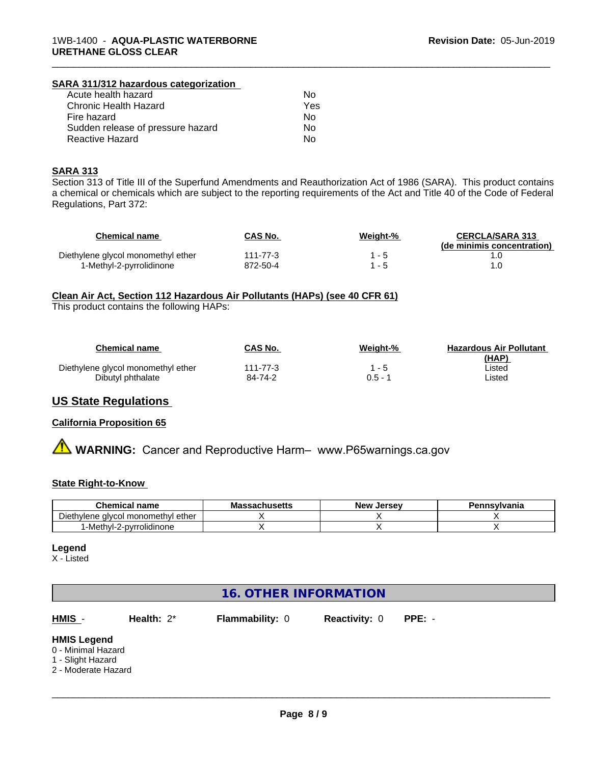#### **SARA 311/312 hazardous categorization**

| Acute health hazard               | Nο  |
|-----------------------------------|-----|
| Chronic Health Hazard             | Yes |
| Fire hazard                       | N٥  |
| Sudden release of pressure hazard | N٥  |
| Reactive Hazard                   | N٥  |

#### **SARA 313**

Section 313 of Title III of the Superfund Amendments and Reauthorization Act of 1986 (SARA). This product contains a chemical or chemicals which are subject to the reporting requirements of the Act and Title 40 of the Code of Federal Regulations, Part 372:

\_\_\_\_\_\_\_\_\_\_\_\_\_\_\_\_\_\_\_\_\_\_\_\_\_\_\_\_\_\_\_\_\_\_\_\_\_\_\_\_\_\_\_\_\_\_\_\_\_\_\_\_\_\_\_\_\_\_\_\_\_\_\_\_\_\_\_\_\_\_\_\_\_\_\_\_\_\_\_\_\_\_\_\_\_\_\_\_\_\_\_\_\_

| Chemical name                      | CAS No.  | Weight-% | <b>CERCLA/SARA 313</b><br>(de minimis concentration) |
|------------------------------------|----------|----------|------------------------------------------------------|
| Diethylene glycol monomethyl ether | 111-77-3 | - 5      |                                                      |
| 1-Methyl-2-pyrrolidinone           | 872-50-4 | - 5      |                                                      |

#### **Clean Air Act,Section 112 Hazardous Air Pollutants (HAPs) (see 40 CFR 61)**

This product contains the following HAPs:

| Chemical name                      | <b>CAS No.</b> | Weight-% | <b>Hazardous Air Pollutant</b><br>(HAP) |
|------------------------------------|----------------|----------|-----------------------------------------|
| Diethylene glycol monomethyl ether | $111 - 77 - 3$ | $1 - 5$  | ∟isted                                  |
| Dibutyl phthalate                  | 84-74-2        | 0.5 - 1  | ∟isted                                  |

## **US State Regulations**

#### **California Proposition 65**

**A WARNING:** Cancer and Reproductive Harm– www.P65warnings.ca.gov

#### **State Right-to-Know**

| <b>Chemical name</b>                                       | - -<br>sachusetts<br>Mas: | . Jersev<br><b>New</b> | Pennsvlvania |
|------------------------------------------------------------|---------------------------|------------------------|--------------|
| $- \cdot$<br>Diethylene<br>ether<br>I monomethvl<br>alvcol |                           |                        |              |
| '-Methyl-2-pyrrolidinone                                   |                           |                        |              |

#### **Legend**

X - Listed

## **16. OTHER INFORMATION**

**HMIS** - **Health:** 2\* **Flammability:** 0 **Reactivity:** 0 **PPE:** -

#### **HMIS Legend**

- 0 Minimal Hazard
- 1 Slight Hazard
- 2 Moderate Hazard